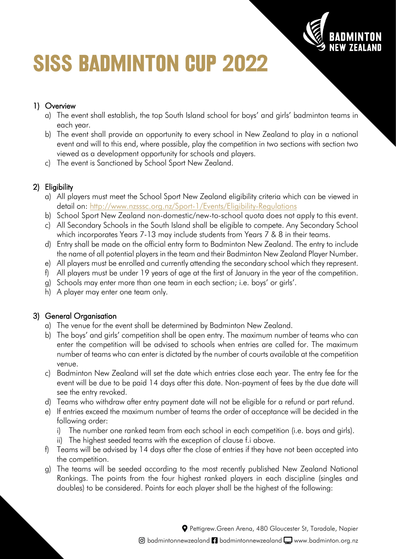

# **SISS BADMINTON CUP 2022**

# 1) Overview

- a) The event shall establish, the top South Island school for boys' and girls' badminton teams in each year.
- b) The event shall provide an opportunity to every school in New Zealand to play in a national event and will to this end, where possible, play the competition in two sections with section two viewed as a development opportunity for schools and players.
- c) The event is Sanctioned by School Sport New Zealand.

# 2) Eligibility

- a) All players must meet the School Sport New Zealand eligibility criteria which can be viewed in detail on:<http://www.nzsssc.org.nz/Sport-1/Events/Eligibility-Regulations>
- b) School Sport New Zealand non-domestic/new-to-school quota does not apply to this event.
- c) All Secondary Schools in the South Island shall be eligible to compete. Any Secondary School which incorporates Years 7-13 may include students from Years 7 & 8 in their teams.
- d) Entry shall be made on the official entry form to Badminton New Zealand. The entry to include the name of all potential players in the team and their Badminton New Zealand Player Number.
- e) All players must be enrolled and currently attending the secondary school which they represent.
- f) All players must be under 19 years of age at the first of January in the year of the competition.
- g) Schools may enter more than one team in each section; i.e. boys' or girls'.
- h) A player may enter one team only.

# 3) General Organisation

- a) The venue for the event shall be determined by Badminton New Zealand.
- b) The boys' and girls' competition shall be open entry. The maximum number of teams who can enter the competition will be advised to schools when entries are called for. The maximum number of teams who can enter is dictated by the number of courts available at the competition venue.
- c) Badminton New Zealand will set the date which entries close each year. The entry fee for the event will be due to be paid 14 days after this date. Non-payment of fees by the due date will see the entry revoked.
- d) Teams who withdraw after entry payment date will not be eligible for a refund or part refund.
- e) If entries exceed the maximum number of teams the order of acceptance will be decided in the following order:
	- i) The number one ranked team from each school in each competition (i.e. boys and girls).
	- ii) The highest seeded teams with the exception of clause f.i above.
- f) Teams will be advised by 14 days after the close of entries if they have not been accepted into the competition.
- g) The teams will be seeded according to the most recently published New Zealand National Rankings. The points from the four highest ranked players in each discipline (singles and doubles) to be considered. Points for each player shall be the highest of the following:

Pettigrew.Green Arena, 480 Gloucester St, Taradale, Napier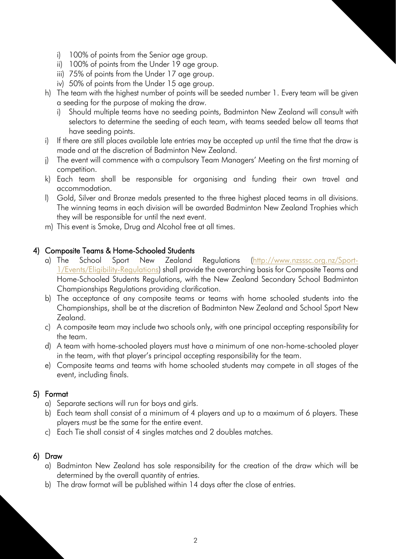- i) 100% of points from the Senior age group.
- ii) 100% of points from the Under 19 age group.
- iii) 75% of points from the Under 17 age group.
- iv) 50% of points from the Under 15 age group.
- h) The team with the highest number of points will be seeded number 1. Every team will be given a seeding for the purpose of making the draw.
	- i) Should multiple teams have no seeding points, Badminton New Zealand will consult with selectors to determine the seeding of each team, with teams seeded below all teams that have seeding points.
- i) If there are still places available late entries may be accepted up until the time that the draw is made and at the discretion of Badminton New Zealand.
- j) The event will commence with a compulsory Team Managers' Meeting on the first morning of competition.
- k) Each team shall be responsible for organising and funding their own travel and accommodation.
- l) Gold, Silver and Bronze medals presented to the three highest placed teams in all divisions. The winning teams in each division will be awarded Badminton New Zealand Trophies which they will be responsible for until the next event.
- m) This event is Smoke, Drug and Alcohol free at all times.

#### 4) Composite Teams & Home-Schooled Students

- a) The School Sport New Zealand Regulations [\(http://www.nzsssc.org.nz/Sport-](http://www.nzsssc.org.nz/Sport-1/Events/Eligibility-Regulations)[1/Events/Eligibility-Regulations\)](http://www.nzsssc.org.nz/Sport-1/Events/Eligibility-Regulations) shall provide the overarching basis for Composite Teams and Home-Schooled Students Regulations, with the New Zealand Secondary School Badminton Championships Regulations providing clarification.
- b) The acceptance of any composite teams or teams with home schooled students into the Championships, shall be at the discretion of Badminton New Zealand and School Sport New Zealand.
- c) A composite team may include two schools only, with one principal accepting responsibility for the team.
- d) A team with home-schooled players must have a minimum of one non-home-schooled player in the team, with that player's principal accepting responsibility for the team.
- e) Composite teams and teams with home schooled students may compete in all stages of the event, including finals.

## 5) Format

- a) Separate sections will run for boys and girls.
- b) Each team shall consist of a minimum of 4 players and up to a maximum of 6 players. These players must be the same for the entire event.
- c) Each Tie shall consist of 4 singles matches and 2 doubles matches.

#### 6) Draw

- a) Badminton New Zealand has sole responsibility for the creation of the draw which will be determined by the overall quantity of entries.
- b) The draw format will be published within 14 days after the close of entries.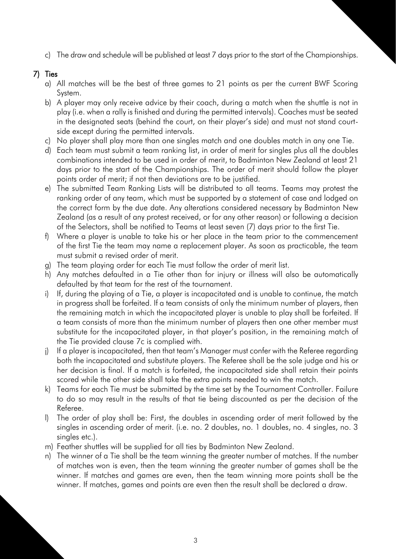c) The draw and schedule will be published at least 7 days prior to the start of the Championships.

### 7) Ties

- a) All matches will be the best of three games to 21 points as per the current BWF Scoring System.
- b) A player may only receive advice by their coach, during a match when the shuttle is not in play (i.e. when a rally is finished and during the permitted intervals). Coaches must be seated in the designated seats (behind the court, on their player's side) and must not stand courtside except during the permitted intervals.
- c) No player shall play more than one singles match and one doubles match in any one Tie.
- d) Each team must submit a team ranking list, in order of merit for singles plus all the doubles combinations intended to be used in order of merit, to Badminton New Zealand at least 21 days prior to the start of the Championships. The order of merit should follow the player points order of merit; if not then deviations are to be justified.
- e) The submitted Team Ranking Lists will be distributed to all teams. Teams may protest the ranking order of any team, which must be supported by a statement of case and lodged on the correct form by the due date. Any alterations considered necessary by Badminton New Zealand (as a result of any protest received, or for any other reason) or following a decision of the Selectors, shall be notified to Teams at least seven (7) days prior to the first Tie.
- f) Where a player is unable to take his or her place in the team prior to the commencement of the first Tie the team may name a replacement player. As soon as practicable, the team must submit a revised order of merit.
- g) The team playing order for each Tie must follow the order of merit list.
- h) Any matches defaulted in a Tie other than for injury or illness will also be automatically defaulted by that team for the rest of the tournament.
- i) If, during the playing of a Tie, a player is incapacitated and is unable to continue, the match in progress shall be forfeited. If a team consists of only the minimum number of players, then the remaining match in which the incapacitated player is unable to play shall be forfeited. If a team consists of more than the minimum number of players then one other member must substitute for the incapacitated player, in that player's position, in the remaining match of the Tie provided clause 7c is complied with.
- j) If a player is incapacitated, then that team's Manager must confer with the Referee regarding both the incapacitated and substitute players. The Referee shall be the sole judge and his or her decision is final. If a match is forfeited, the incapacitated side shall retain their points scored while the other side shall take the extra points needed to win the match.
- k) Teams for each Tie must be submitted by the time set by the Tournament Controller. Failure to do so may result in the results of that tie being discounted as per the decision of the Referee.
- l) The order of play shall be: First, the doubles in ascending order of merit followed by the singles in ascending order of merit. (i.e. no. 2 doubles, no. 1 doubles, no. 4 singles, no. 3 singles etc.).
- m) Feather shuttles will be supplied for all ties by Badminton New Zealand.
- n) The winner of a Tie shall be the team winning the greater number of matches. If the number of matches won is even, then the team winning the greater number of games shall be the winner. If matches and games are even, then the team winning more points shall be the winner. If matches, games and points are even then the result shall be declared a draw.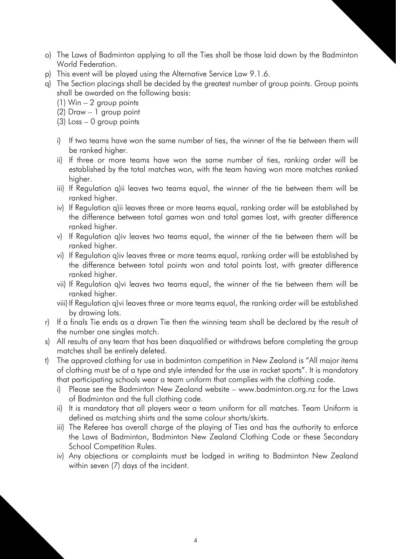- o) The Laws of Badminton applying to all the Ties shall be those laid down by the Badminton World Federation.
- p) This event will be played using the Alternative Service Law 9.1.6.
- q) The Section placings shall be decided by the greatest number of group points. Group points shall be awarded on the following basis:
	- (1) Win 2 group points
	- (2) Draw 1 group point
	- (3) Loss 0 group points
	- i) If two teams have won the same number of ties, the winner of the tie between them will be ranked higher.
	- ii) If three or more teams have won the same number of ties, ranking order will be established by the total matches won, with the team having won more matches ranked higher.
	- iii) If Regulation q)ii leaves two teams equal, the winner of the tie between them will be ranked higher.
	- iv) If Regulation q)ii leaves three or more teams equal, ranking order will be established by the difference between total games won and total games lost, with greater difference ranked higher.
	- v) If Regulation q)iv leaves two teams equal, the winner of the tie between them will be ranked higher.
	- vi) If Regulation q)iv leaves three or more teams equal, ranking order will be established by the difference between total points won and total points lost, with greater difference ranked higher.
	- vii) If Regulation q)vi leaves two teams equal, the winner of the tie between them will be ranked higher.
	- viii) If Regulation q)vi leaves three or more teams equal, the ranking order will be established by drawing lots.
- r) If a finals Tie ends as a drawn Tie then the winning team shall be declared by the result of the number one singles match.
- s) All results of any team that has been disqualified or withdraws before completing the group matches shall be entirely deleted.
- t) The approved clothing for use in badminton competition in New Zealand is "All major items of clothing must be of a type and style intended for the use in racket sports". It is mandatory that participating schools wear a team uniform that complies with the clothing code.
	- i) Please see the Badminton New Zealand website www.badminton.org.nz for the Laws of Badminton and the full clothing code.
	- ii) It is mandatory that all players wear a team uniform for all matches. Team Uniform is defined as matching shirts and the same colour shorts/skirts.
	- iii) The Referee has overall charge of the playing of Ties and has the authority to enforce the Laws of Badminton, Badminton New Zealand Clothing Code or these Secondary School Competition Rules.
	- iv) Any objections or complaints must be lodged in writing to Badminton New Zealand within seven (7) days of the incident.